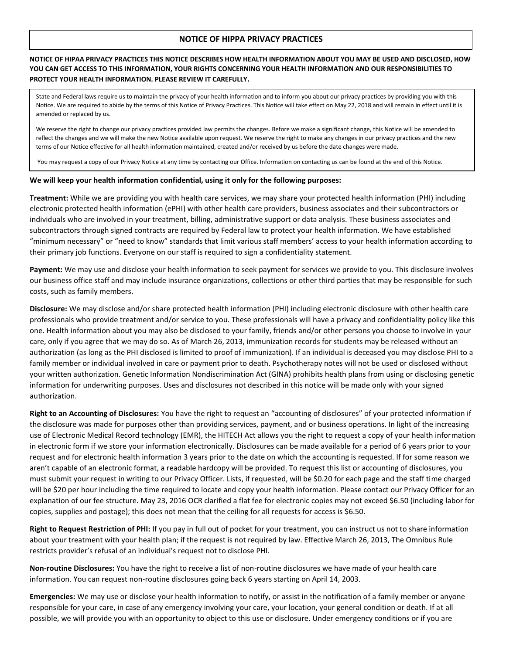## **NOTICE OF HIPPA PRIVACY PRACTICES**

## **NOTICE OF HIPAA PRIVACY PRACTICES THIS NOTICE DESCRIBES HOW HEALTH INFORMATION ABOUT YOU MAY BE USED AND DISCLOSED, HOW YOU CAN GET ACCESS TO THIS INFORMATION, YOUR RIGHTS CONCERNING YOUR HEALTH INFORMATION AND OUR RESPONSIBILITIES TO PROTECT YOUR HEALTH INFORMATION. PLEASE REVIEW IT CAREFULLY.**

State and Federal laws require us to maintain the privacy of your health information and to inform you about our privacy practices by providing you with this Notice. We are required to abide by the terms of this Notice of Privacy Practices. This Notice will take effect on May 22, 2018 and will remain in effect until it is amended or replaced by us.

We reserve the right to change our privacy practices provided law permits the changes. Before we make a significant change, this Notice will be amended to reflect the changes and we will make the new Notice available upon request. We reserve the right to make any changes in our privacy practices and the new terms of our Notice effective for all health information maintained, created and/or received by us before the date changes were made.

You may request a copy of our Privacy Notice at any time by contacting our Office. Information on contacting us can be found at the end of this Notice.

#### **We will keep your health information confidential, using it only for the following purposes:**

**Treatment:** While we are providing you with health care services, we may share your protected health information (PHI) including electronic protected health information (ePHI) with other health care providers, business associates and their subcontractors or individuals who are involved in your treatment, billing, administrative support or data analysis. These business associates and subcontractors through signed contracts are required by Federal law to protect your health information. We have established "minimum necessary" or "need to know" standards that limit various staff members' access to your health information according to their primary job functions. Everyone on our staff is required to sign a confidentiality statement.

**Payment:** We may use and disclose your health information to seek payment for services we provide to you. This disclosure involves our business office staff and may include insurance organizations, collections or other third parties that may be responsible for such costs, such as family members.

**Disclosure:** We may disclose and/or share protected health information (PHI) including electronic disclosure with other health care professionals who provide treatment and/or service to you. These professionals will have a privacy and confidentiality policy like this one. Health information about you may also be disclosed to your family, friends and/or other persons you choose to involve in your care, only if you agree that we may do so. As of March 26, 2013, immunization records for students may be released without an authorization (as long as the PHI disclosed is limited to proof of immunization). If an individual is deceased you may disclose PHI to a family member or individual involved in care or payment prior to death. Psychotherapy notes will not be used or disclosed without your written authorization. Genetic Information Nondiscrimination Act (GINA) prohibits health plans from using or disclosing genetic information for underwriting purposes. Uses and disclosures not described in this notice will be made only with your signed authorization.

**Right to an Accounting of Disclosures:** You have the right to request an "accounting of disclosures" of your protected information if the disclosure was made for purposes other than providing services, payment, and or business operations. In light of the increasing use of Electronic Medical Record technology (EMR), the HITECH Act allows you the right to request a copy of your health information in electronic form if we store your information electronically. Disclosures can be made available for a period of 6 years prior to your request and for electronic health information 3 years prior to the date on which the accounting is requested. If for some reason we aren't capable of an electronic format, a readable hardcopy will be provided. To request this list or accounting of disclosures, you must submit your request in writing to our Privacy Officer. Lists, if requested, will be \$0.20 for each page and the staff time charged will be \$20 per hour including the time required to locate and copy your health information. Please contact our Privacy Officer for an explanation of our fee structure. May 23, 2016 OCR clarified a flat fee for electronic copies may not exceed \$6.50 (including labor for copies, supplies and postage); this does not mean that the ceiling for all requests for access is \$6.50.

**Right to Request Restriction of PHI:** If you pay in full out of pocket for your treatment, you can instruct us not to share information about your treatment with your health plan; if the request is not required by law. Effective March 26, 2013, The Omnibus Rule restricts provider's refusal of an individual's request not to disclose PHI.

**Non-routine Disclosures:** You have the right to receive a list of non-routine disclosures we have made of your health care information. You can request non-routine disclosures going back 6 years starting on April 14, 2003.

**Emergencies:** We may use or disclose your health information to notify, or assist in the notification of a family member or anyone responsible for your care, in case of any emergency involving your care, your location, your general condition or death. If at all possible, we will provide you with an opportunity to object to this use or disclosure. Under emergency conditions or if you are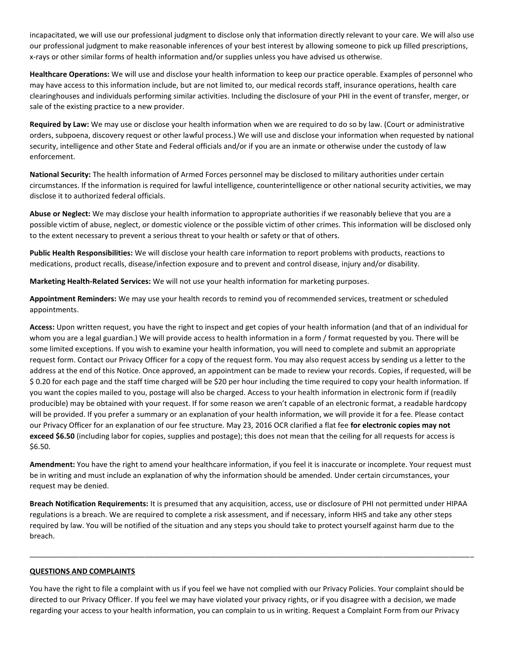incapacitated, we will use our professional judgment to disclose only that information directly relevant to your care. We will also use our professional judgment to make reasonable inferences of your best interest by allowing someone to pick up filled prescriptions, x-rays or other similar forms of health information and/or supplies unless you have advised us otherwise.

**Healthcare Operations:** We will use and disclose your health information to keep our practice operable. Examples of personnel who may have access to this information include, but are not limited to, our medical records staff, insurance operations, health care clearinghouses and individuals performing similar activities. Including the disclosure of your PHI in the event of transfer, merger, or sale of the existing practice to a new provider.

**Required by Law:** We may use or disclose your health information when we are required to do so by law. (Court or administrative orders, subpoena, discovery request or other lawful process.) We will use and disclose your information when requested by national security, intelligence and other State and Federal officials and/or if you are an inmate or otherwise under the custody of law enforcement.

**National Security:** The health information of Armed Forces personnel may be disclosed to military authorities under certain circumstances. If the information is required for lawful intelligence, counterintelligence or other national security activities, we may disclose it to authorized federal officials.

**Abuse or Neglect:** We may disclose your health information to appropriate authorities if we reasonably believe that you are a possible victim of abuse, neglect, or domestic violence or the possible victim of other crimes. This information will be disclosed only to the extent necessary to prevent a serious threat to your health or safety or that of others.

**Public Health Responsibilities:** We will disclose your health care information to report problems with products, reactions to medications, product recalls, disease/infection exposure and to prevent and control disease, injury and/or disability.

**Marketing Health-Related Services:** We will not use your health information for marketing purposes.

**Appointment Reminders:** We may use your health records to remind you of recommended services, treatment or scheduled appointments.

**Access:** Upon written request, you have the right to inspect and get copies of your health information (and that of an individual for whom you are a legal guardian.) We will provide access to health information in a form / format requested by you. There will be some limited exceptions. If you wish to examine your health information, you will need to complete and submit an appropriate request form. Contact our Privacy Officer for a copy of the request form. You may also request access by sending us a letter to the address at the end of this Notice. Once approved, an appointment can be made to review your records. Copies, if requested, will be \$ 0.20 for each page and the staff time charged will be \$20 per hour including the time required to copy your health information. If you want the copies mailed to you, postage will also be charged. Access to your health information in electronic form if (readily producible) may be obtained with your request. If for some reason we aren't capable of an electronic format, a readable hardcopy will be provided. If you prefer a summary or an explanation of your health information, we will provide it for a fee. Please contact our Privacy Officer for an explanation of our fee structure. May 23, 2016 OCR clarified a flat fee **for electronic copies may not exceed \$6.50** (including labor for copies, supplies and postage); this does not mean that the ceiling for all requests for access is \$6.50.

**Amendment:** You have the right to amend your healthcare information, if you feel it is inaccurate or incomplete. Your request must be in writing and must include an explanation of why the information should be amended. Under certain circumstances, your request may be denied.

**Breach Notification Requirements:** It is presumed that any acquisition, access, use or disclosure of PHI not permitted under HIPAA regulations is a breach. We are required to complete a risk assessment, and if necessary, inform HHS and take any other steps required by law. You will be notified of the situation and any steps you should take to protect yourself against harm due to the breach.

\_\_\_\_\_\_\_\_\_\_\_\_\_\_\_\_\_\_\_\_\_\_\_\_\_\_\_\_\_\_\_\_\_\_\_\_\_\_\_\_\_\_\_\_\_\_\_\_\_\_\_\_\_\_\_\_\_\_\_\_\_\_\_\_\_\_\_\_\_\_\_\_\_\_\_\_\_\_\_\_\_\_\_\_\_\_\_\_\_\_\_\_\_\_\_\_\_\_\_\_\_\_\_\_\_\_\_\_

# **QUESTIONS AND COMPLAINTS**

You have the right to file a complaint with us if you feel we have not complied with our Privacy Policies. Your complaint should be directed to our Privacy Officer. If you feel we may have violated your privacy rights, or if you disagree with a decision, we made regarding your access to your health information, you can complain to us in writing. Request a Complaint Form from our Privacy